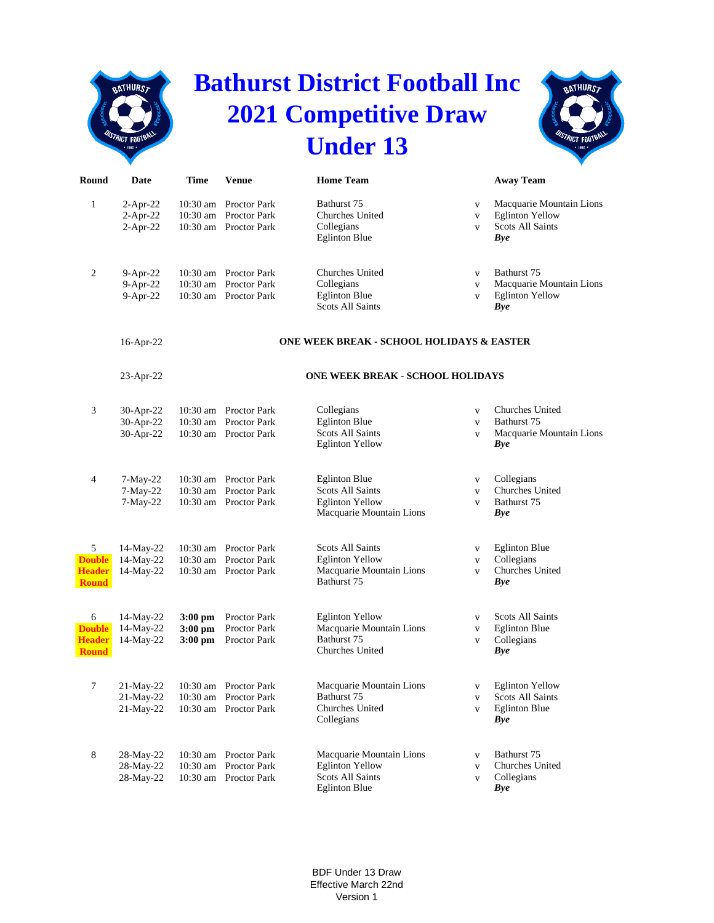|                                                     | <b>BATHURST</b>                        |                                     |                                                                         | <b>Bathurst District Football Inc.</b><br><b>2021 Competitive Draw</b>                                |                                              | <b>BATHURS</b>                                                                          |
|-----------------------------------------------------|----------------------------------------|-------------------------------------|-------------------------------------------------------------------------|-------------------------------------------------------------------------------------------------------|----------------------------------------------|-----------------------------------------------------------------------------------------|
|                                                     | STRICT FOOTBALL                        |                                     |                                                                         | <b>Under 13</b>                                                                                       |                                              | <b>USTRICT FOOTBAL</b>                                                                  |
| Round                                               | Date                                   | <b>Time</b>                         | <b>Venue</b>                                                            | <b>Home Team</b>                                                                                      |                                              | <b>Away Team</b>                                                                        |
| $\mathbf{1}$                                        | $2-Apr-22$<br>$2-Apr-22$<br>$2-Apr-22$ |                                     | 10:30 am Proctor Park<br>10:30 am Proctor Park<br>10:30 am Proctor Park | Bathurst 75<br>Churches United<br>Collegians<br><b>Eglinton Blue</b>                                  | $\mathbf{V}$<br>$\mathbf{V}$<br>$\mathbf{V}$ | Macquarie Mountain Lions<br><b>Eglinton Yellow</b><br>Scots All Saints<br>Bye           |
| 2                                                   | 9-Apr-22<br>$9-Apr-22$<br>$9-Apr-22$   |                                     | 10:30 am Proctor Park<br>10:30 am Proctor Park<br>10:30 am Proctor Park | Churches United<br>Collegians<br><b>Eglinton Blue</b><br><b>Scots All Saints</b>                      | $\mathbf{V}$<br>$\mathbf{V}$<br>$\mathbf{V}$ | Bathurst 75<br>Macquarie Mountain Lions<br><b>Eglinton Yellow</b><br>Bye                |
|                                                     | 16-Apr-22                              |                                     |                                                                         | ONE WEEK BREAK - SCHOOL HOLIDAYS & EASTER                                                             |                                              |                                                                                         |
|                                                     | $23$ -Apr-22                           |                                     |                                                                         | <b>ONE WEEK BREAK - SCHOOL HOLIDAYS</b>                                                               |                                              |                                                                                         |
| 3                                                   | 30-Apr-22<br>30-Apr-22<br>30-Apr-22    |                                     | 10:30 am Proctor Park<br>10:30 am Proctor Park<br>10:30 am Proctor Park | Collegians<br><b>Eglinton Blue</b><br><b>Scots All Saints</b><br><b>Eglinton Yellow</b>               | $\mathbf{V}$<br>$\mathbf{V}$<br>$\mathbf{V}$ | Churches United<br>Bathurst 75<br>Macquarie Mountain Lions<br><b>Bye</b>                |
| 4                                                   | $7-May-22$<br>$7-May-22$<br>$7-May-22$ |                                     | 10:30 am Proctor Park<br>10:30 am Proctor Park<br>10:30 am Proctor Park | <b>Eglinton Blue</b><br><b>Scots All Saints</b><br><b>Eglinton Yellow</b><br>Macquarie Mountain Lions | $\mathbf{V}$<br>$\mathbf{V}$<br>$\mathbf{V}$ | Collegians<br><b>Churches United</b><br>Bathurst 75<br><b>Bye</b>                       |
| 5<br><b>Double</b><br><b>Header</b><br><b>Round</b> | 14-May-22<br>14-May-22<br>14-May-22    |                                     | 10:30 am Proctor Park<br>10:30 am Proctor Park<br>10:30 am Proctor Park | <b>Scots All Saints</b><br><b>Eglinton Yellow</b><br>Macquarie Mountain Lions<br>Bathurst 75          | V<br>$\mathbf{V}$<br>$\mathbf{V}$            | <b>Eglinton Blue</b><br>Collegians<br>Churches United<br><b>Bye</b>                     |
| 6<br><b>Double</b><br><b>Header</b><br><b>Round</b> | 14-May-22<br>14-May-22<br>14-May-22    | $3:00$ pm<br>$3:00$ pm<br>$3:00$ pm | Proctor Park<br>Proctor Park<br>Proctor Park                            | <b>Eglinton Yellow</b><br>Macquarie Mountain Lions<br>Bathurst 75<br>Churches United                  | $\mathbf{V}$<br>$\mathbf{V}$<br>$\mathbf{V}$ | <b>Scots All Saints</b><br><b>Eglinton Blue</b><br>Collegians<br><b>Bye</b>             |
| $\tau$                                              | 21-May-22<br>21-May-22<br>21-May-22    |                                     | 10:30 am Proctor Park<br>10:30 am Proctor Park<br>10:30 am Proctor Park | Macquarie Mountain Lions<br>Bathurst 75<br><b>Churches United</b><br>Collegians                       | $\mathbf{V}$<br>$\mathbf{V}$<br>$\mathbf{V}$ | <b>Eglinton Yellow</b><br><b>Scots All Saints</b><br><b>Eglinton Blue</b><br><b>Bye</b> |
| 8                                                   | 28-May-22<br>28-May-22<br>28-May-22    |                                     | 10:30 am Proctor Park<br>10:30 am Proctor Park<br>10:30 am Proctor Park | Macquarie Mountain Lions<br><b>Eglinton Yellow</b><br><b>Scots All Saints</b><br><b>Eglinton Blue</b> | $\mathbf{V}$<br>$\mathbf{V}$<br>$\mathbf{V}$ | Bathurst 75<br>Churches United<br>Collegians<br><b>Bye</b>                              |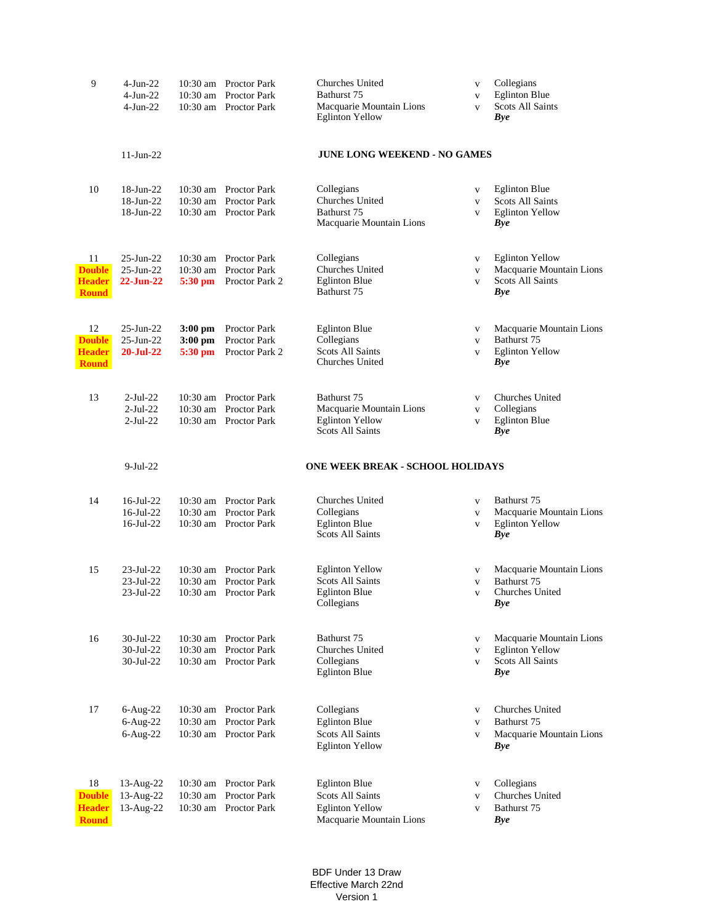| 9                                                    | $4-Jun-22$<br>$4-Jun-22$<br>4-Jun-22                         |                                           | 10:30 am Proctor Park<br>10:30 am Proctor Park<br>10:30 am Proctor Park | Churches United<br>Bathurst 75<br>Macquarie Mountain Lions<br><b>Eglinton Yellow</b>         | $\mathbf{V}$<br>$\mathbf{V}$<br>$\mathbf{V}$ | Collegians<br><b>Eglinton Blue</b><br><b>Scots All Saints</b><br>Bye             |
|------------------------------------------------------|--------------------------------------------------------------|-------------------------------------------|-------------------------------------------------------------------------|----------------------------------------------------------------------------------------------|----------------------------------------------|----------------------------------------------------------------------------------|
|                                                      | $11$ -Jun-22                                                 |                                           |                                                                         | <b>JUNE LONG WEEKEND - NO GAMES</b>                                                          |                                              |                                                                                  |
| 10                                                   | 18-Jun-22<br>18-Jun-22<br>18-Jun-22                          |                                           | 10:30 am Proctor Park<br>10:30 am Proctor Park<br>10:30 am Proctor Park | Collegians<br>Churches United<br>Bathurst 75<br>Macquarie Mountain Lions                     | $\mathbf{V}$<br>$\mathbf{V}$<br>$\mathbf{V}$ | <b>Eglinton Blue</b><br><b>Scots All Saints</b><br><b>Eglinton Yellow</b><br>Bye |
| 11<br><b>Double</b><br><b>Header</b><br><b>Round</b> | $25$ -Jun- $22$<br>$25$ -Jun- $22$<br>$22 - Jun-22$          | 10:30 am<br>$5:30$ pm                     | 10:30 am Proctor Park<br><b>Proctor Park</b><br>Proctor Park 2          | Collegians<br>Churches United<br><b>Eglinton Blue</b><br>Bathurst 75                         | $\mathbf{V}$<br>$\mathbf{V}$<br>$\mathbf{V}$ | <b>Eglinton Yellow</b><br>Macquarie Mountain Lions<br>Scots All Saints<br>Bye    |
| 12<br><b>Double</b><br><b>Header</b><br><b>Round</b> | $25$ -Jun- $22$<br>$25$ -Jun- $22$<br>$20 - \text{Jul} - 22$ | $3:00 \text{ pm}$<br>$3:00$ pm<br>5:30 pm | Proctor Park<br>Proctor Park<br>Proctor Park 2                          | <b>Eglinton Blue</b><br>Collegians<br><b>Scots All Saints</b><br>Churches United             | $\mathbf{V}$<br>$\mathbf{V}$<br>$\mathbf{V}$ | Macquarie Mountain Lions<br>Bathurst 75<br><b>Eglinton Yellow</b><br>Bye         |
| 13                                                   | $2$ -Jul-22<br>$2-Jul-22$<br>$2$ -Jul-22                     |                                           | 10:30 am Proctor Park<br>10:30 am Proctor Park<br>10:30 am Proctor Park | Bathurst 75<br>Macquarie Mountain Lions<br><b>Eglinton Yellow</b><br><b>Scots All Saints</b> | V<br>$\mathbf{V}$<br>$\mathbf{V}$            | Churches United<br>Collegians<br><b>Eglinton Blue</b><br><b>Bye</b>              |
|                                                      | $9-Jul-22$                                                   |                                           |                                                                         | <b>ONE WEEK BREAK - SCHOOL HOLIDAYS</b>                                                      |                                              |                                                                                  |
| 14                                                   | $16$ -Jul-22<br>$16$ -Jul- $22$<br>$16$ -Jul-22              |                                           | 10:30 am Proctor Park<br>10:30 am Proctor Park<br>10:30 am Proctor Park | Churches United<br>Collegians<br><b>Eglinton Blue</b><br><b>Scots All Saints</b>             | $\mathbf{V}$<br>$\mathbf{V}$<br>$\mathbf{V}$ | Bathurst 75<br>Macquarie Mountain Lions<br><b>Eglinton Yellow</b><br><b>Bye</b>  |
| 15                                                   | 23-Jul-22<br>23-Jul-22<br>23-Jul-22                          |                                           | 10:30 am Proctor Park<br>10:30 am Proctor Park<br>10:30 am Proctor Park | <b>Eglinton Yellow</b><br><b>Scots All Saints</b><br><b>Eglinton Blue</b><br>Collegians      | $\mathbf{V}$<br>$\mathbf{V}$<br>$\mathbf{V}$ | Macquarie Mountain Lions<br>Bathurst 75<br>Churches United<br>Bye                |
| 16                                                   | 30-Jul-22<br>30-Jul-22                                       | 10:30 am                                  | 10:30 am Proctor Park<br><b>Proctor Park</b>                            | Bathurst 75<br>Churches United                                                               | $\mathbf V$                                  | Macquarie Mountain Lions<br><b>Eglinton Yellow</b>                               |
|                                                      | 30-Jul-22                                                    |                                           | 10:30 am Proctor Park                                                   | Collegians<br><b>Eglinton Blue</b>                                                           | $\mathbf V$<br>$\mathbf{V}$                  | Scots All Saints<br><b>Bye</b>                                                   |
| 17                                                   | 6-Aug-22<br>$6$ -Aug-22<br>$6$ -Aug-22                       | 10:30 am                                  | 10:30 am Proctor Park<br><b>Proctor Park</b><br>10:30 am Proctor Park   | Collegians<br><b>Eglinton Blue</b><br>Scots All Saints<br><b>Eglinton Yellow</b>             | $\mathbf{V}$<br>$\mathbf{V}$<br>$\mathbf{V}$ | Churches United<br>Bathurst 75<br>Macquarie Mountain Lions<br><b>Bye</b>         |

BDF Under 13 Draw Effective March 22nd Version 1